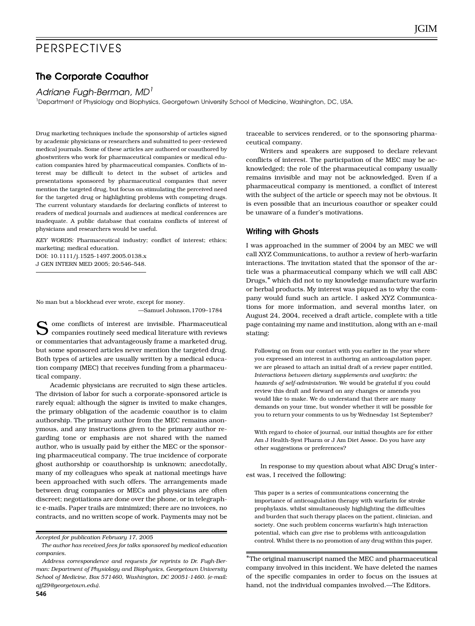## The Corporate Coauthor

## Adriane Fugh-Berman, MD<sup>1</sup>

<sup>1</sup>Department of Physiology and Biophysics, Georgetown University School of Medicine, Washington, DC, USA.

Drug marketing techniques include the sponsorship of articles signed by academic physicians or researchers and submitted to peer-reviewed medical journals. Some of these articles are authored or coauthored by ghostwriters who work for pharmaceutical companies or medical education companies hired by pharmaceutical companies. Conflicts of interest may be difficult to detect in the subset of articles and presentations sponsored by pharmaceutical companies that never mention the targeted drug, but focus on stimulating the perceived need for the targeted drug or highlighting problems with competing drugs. The current voluntary standards for declaring conflicts of interest to readers of medical journals and audiences at medical conferences are inadequate. A public database that contains conflicts of interest of physicians and researchers would be useful.

*KEY WORDS:* Pharmaceutical industry; conflict of interest; ethics; marketing; medical education. DOI: 10.1111/j.1525-1497.2005.0138.x

J GEN INTERN MED 2005; 20:546–548.

No man but a blockhead ever wrote, except for money. —Samuel Johnson,1709–1784

 ${\bf S}$  ome conflicts of interest are invisible. Pharmaceutical companies routinely seed medical literature with reviews ome conflicts of interest are invisible. Pharmaceutical or commentaries that advantageously frame a marketed drug, but some sponsored articles never mention the targeted drug. Both types of articles are usually written by a medical education company (MEC) that receives funding from a pharmaceutical company.

Academic physicians are recruited to sign these articles. The division of labor for such a corporate-sponsored article is rarely equal; although the signer is invited to make changes, the primary obligation of the academic coauthor is to claim authorship. The primary author from the MEC remains anonymous, and any instructions given to the primary author regarding tone or emphasis are not shared with the named author, who is usually paid by either the MEC or the sponsoring pharmaceutical company. The true incidence of corporate ghost authorship or coauthorship is unknown; anecdotally, many of my colleagues who speak at national meetings have been approached with such offers. The arrangements made between drug companies or MECs and physicians are often discreet; negotiations are done over the phone, or in telegraphic e-mails. Paper trails are minimized; there are no invoices, no contracts, and no written scope of work. Payments may not be

traceable to services rendered, or to the sponsoring pharmaceutical company.

Writers and speakers are supposed to declare relevant conflicts of interest. The participation of the MEC may be acknowledged; the role of the pharmaceutical company usually remains invisible and may not be acknowledged. Even if a pharmaceutical company is mentioned, a conflict of interest with the subject of the article or speech may not be obvious. It is even possible that an incurious coauthor or speaker could be unaware of a funder's motivations.

## Writing with Ghosts

I was approached in the summer of 2004 by an MEC we will call XYZ Communications, to author a review of herb-warfarin interactions. The invitation stated that the sponsor of the article was a pharmaceutical company which we will call ABC Drugs,\* which did not to my knowledge manufacture warfarin or herbal products. My interest was piqued as to why the company would fund such an article. I asked XYZ Communications for more information, and several months later, on August 24, 2004, received a draft article, complete with a title page containing my name and institution, along with an e-mail stating:

Following on from our contact with you earlier in the year where you expressed an interest in authoring an anticoagulation paper, we are pleased to attach an initial draft of a review paper entitled, *Interactions between dietary supplements and warfarin: the hazards of self-administration*. We would be grateful if you could review this draft and forward on any changes or amends you would like to make. We do understand that there are many demands on your time, but wonder whether it will be possible for you to return your comments to us by Wednesday 1st September?

With regard to choice of journal, our initial thoughts are for either Am J Health-Syst Pharm or J Am Diet Assoc. Do you have any other suggestions or preferences?

In response to my question about what ABC Drug's interest was, I received the following:

This paper is a series of communications concerning the importance of anticoagulation therapy with warfarin for stroke prophylaxis, whilst simultaneously highlighting the difficulties and burden that such therapy places on the patient, clinician, and society. One such problem concerns warfarin's high interaction potential, which can give rise to problems with anticoagulation control. Whilst there is no promotion of any drug within this paper, *Accepted for publication February 17, 2005*

> The original manuscript named the MEC and pharmaceutical company involved in this incident. We have deleted the names of the specific companies in order to focus on the issues at hand, not the individual companies involved.—The Editors.

*The author has received fees for talks sponsored by medical education companies.*

*Address correspondence and requests for reprints to Dr. Fugh-Berman: Department of Physiology and Biophysics, Georgetown University School of Medicine, Box 571460, Washington, DC 20051-1460. (e-mail: ajf29@georgetown.edu).*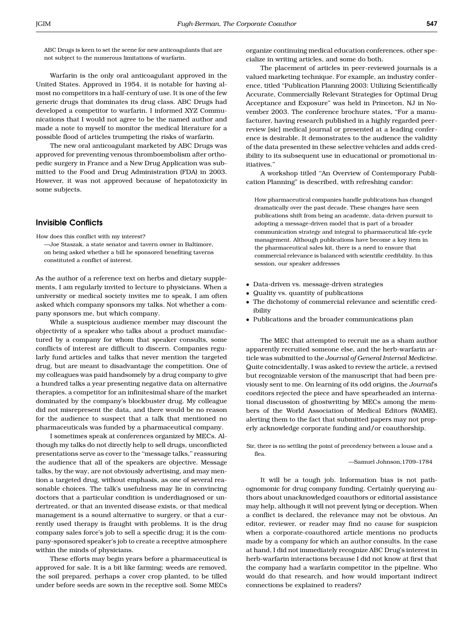ABC Drugs is keen to set the scene for new anticoagulants that are not subject to the numerous limitations of warfarin.

Warfarin is the only oral anticoagulant approved in the United States. Approved in 1954, it is notable for having almost no competitors in a half-century of use. It is one of the few generic drugs that dominates its drug class. ABC Drugs had developed a competitor to warfarin. I informed XYZ Communications that I would not agree to be the named author and made a note to myself to monitor the medical literature for a possible flood of articles trumpeting the risks of warfarin.

The new oral anticoagulant marketed by ABC Drugs was approved for preventing venous thromboembolism after orthopedic surgery in France and a New Drug Application was submitted to the Food and Drug Administration (FDA) in 2003. However, it was not approved because of hepatotoxicity in some subjects.

## Invisible Conflicts

How does this conflict with my interest?

—Joe Staszak, a state senator and tavern owner in Baltimore, on being asked whether a bill he sponsored benefiting taverns constituted a conflict of interest.

As the author of a reference text on herbs and dietary supplements, I am regularly invited to lecture to physicians. When a university or medical society invites me to speak, I am often asked which company sponsors my talks. Not whether a company sponsors me, but which company.

While a suspicious audience member may discount the objectivity of a speaker who talks about a product manufactured by a company for whom that speaker consults, some conflicts of interest are difficult to discern. Companies regularly fund articles and talks that never mention the targeted drug, but are meant to disadvantage the competition. One of my colleagues was paid handsomely by a drug company to give a hundred talks a year presenting negative data on alternative therapies, a competitor for an infinitesimal share of the market dominated by the company's blockbuster drug. My colleague did not misrepresent the data, and there would be no reason for the audience to suspect that a talk that mentioned no pharmaceuticals was funded by a pharmaceutical company.

I sometimes speak at conferences organized by MECs. Although my talks do not directly help to sell drugs, unconflicted presentations serve as cover to the ''message talks,'' reassuring the audience that all of the speakers are objective. Message talks, by the way, are not obviously advertising, and may mention a targeted drug, without emphasis, as one of several reasonable choices. The talk's usefulness may lie in convincing doctors that a particular condition is underdiagnosed or undertreated, or that an invented disease exists, or that medical management is a sound alternative to surgery, or that a currently used therapy is fraught with problems. It is the drug company sales force's job to sell a specific drug; it is the company-sponsored speaker's job to create a receptive atmosphere within the minds of physicians.

These efforts may begin years before a pharmaceutical is approved for sale. It is a bit like farming; weeds are removed, the soil prepared, perhaps a cover crop planted, to be tilled under before seeds are sown in the receptive soil. Some MECs organize continuing medical education conferences, other specialize in writing articles, and some do both.

The placement of articles in peer-reviewed journals is a valued marketing technique. For example, an industry conference, titled ''Publication Planning 2003: Utilizing Scientifically Accurate, Commercially Relevant Strategies for Optimal Drug Acceptance and Exposure'' was held in Princeton, NJ in November 2003. The conference brochure states, "For a manufacturer, having research published in a highly regarded peerreview [sic] medical journal or presented at a leading conference is desirable. It demonstrates to the audience the validity of the data presented in these selective vehicles and adds credibility to its subsequent use in educational or promotional initiatives.''

A workshop titled ''An Overview of Contemporary Publication Planning'' is described, with refreshing candor:

How pharmaceutical companies handle publications has changed dramatically over the past decade. These changes have seen publications shift from being an academic, data-driven pursuit to adopting a message-driven model that is part of a broader communication strategy and integral to pharmaceutical life-cycle management. Although publications have become a key item in the pharmaceutical sales kit, there is a need to ensure that commercial relevance is balanced with scientific credibility. In this session, our speaker addresses

- Data-driven vs. message-driven strategies
- Quality vs. quantity of publications
- The dichotomy of commercial relevance and scientific credibility
- Publications and the broader communications plan

The MEC that attempted to recruit me as a sham author apparently recruited someone else, and the herb-warfarin article was submitted to the *Journal of General Internal Medicine*. Quite coincidentally, I was asked to review the article, a revised but recognizable version of the manuscript that had been previously sent to me. On learning of its odd origins, the *Journal*'s coeditors rejected the piece and have spearheaded an international discussion of ghostwriting by MECs among the members of the World Association of Medical Editors (WAME), alerting them to the fact that submitted papers may not properly acknowledge corporate funding and/or coauthorship.

Sir, there is no settling the point of precedency between a louse and a flea.

—Samuel Johnson,1709–1784

It will be a tough job. Information bias is not pathognomonic for drug company funding. Certainly querying authors about unacknowledged coauthors or editorial assistance may help, although it will not prevent lying or deception. When a conflict is declared, the relevance may not be obvious. An editor, reviewer, or reader may find no cause for suspicion when a corporate-coauthored article mentions no products made by a company for which an author consults. In the case at hand, I did not immediately recognize ABC Drug's interest in herb-warfarin interactions because I did not know at first that the company had a warfarin competitor in the pipeline. Who would do that research, and how would important indirect connections be explained to readers?